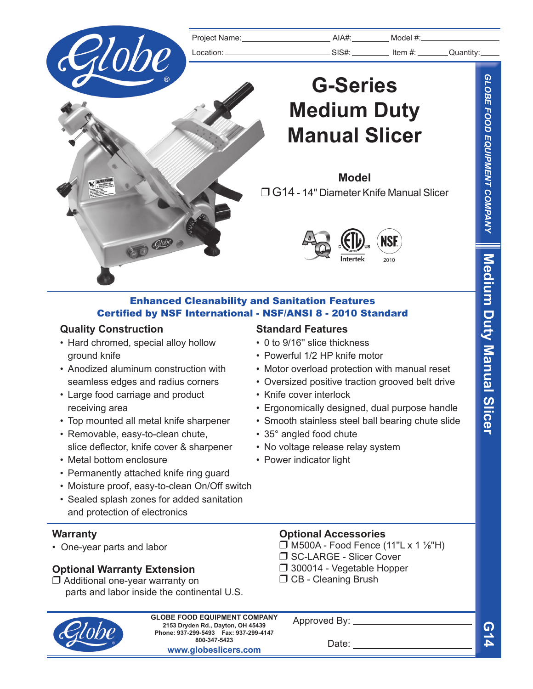

## Enhanced Cleanability and Sanitation Features Certified by NSF International - NSF/ANSI 8 - 2010 Standard

## **Quality Construction**

- Hard chromed, special alloy hollow ground knife
- Anodized aluminum construction with seamless edges and radius corners
- Large food carriage and product receiving area
- Top mounted all metal knife sharpener
- Removable, easy-to-clean chute, slice deflector, knife cover & sharpener
- Metal bottom enclosure
- Permanently attached knife ring guard
- Moisture proof, easy-to-clean On/Off switch
- Sealed splash zones for added sanitation and protection of electronics

## **Warranty**

• One-year parts and labor

## **Optional Warranty Extension**

 $\Box$  Additional one-year warranty on parts and labor inside the continental U.S.

## **Standard Features**

- 0 to 9/16'' slice thickness
- Powerful 1/2 HP knife motor
- Motor overload protection with manual reset
- Oversized positive traction grooved belt drive
- Knife cover interlock
- Ergonomically designed, dual purpose handle
- Smooth stainless steel ball bearing chute slide
- 35° angled food chute
- No voltage release relay system
- Power indicator light

## **Optional Accessories**

 $\Box$  M500A - Food Fence (11"L x 1 1/<sub>8</sub>"H)

- □ SC-LARGE Slicer Cover
- $\Box$  300014 Vegetable Hopper
- $\Box$  CB Cleaning Brush



**2153 Dryden Rd., Dayton, OH 45439 Phone: 937-299-5493 Fax: 937-299-4147 800-347-5423 www.globeslicers.com GLOBE FOOD EQUIPMENT COMPANY**

Approved By: \_

Date:

**G14**